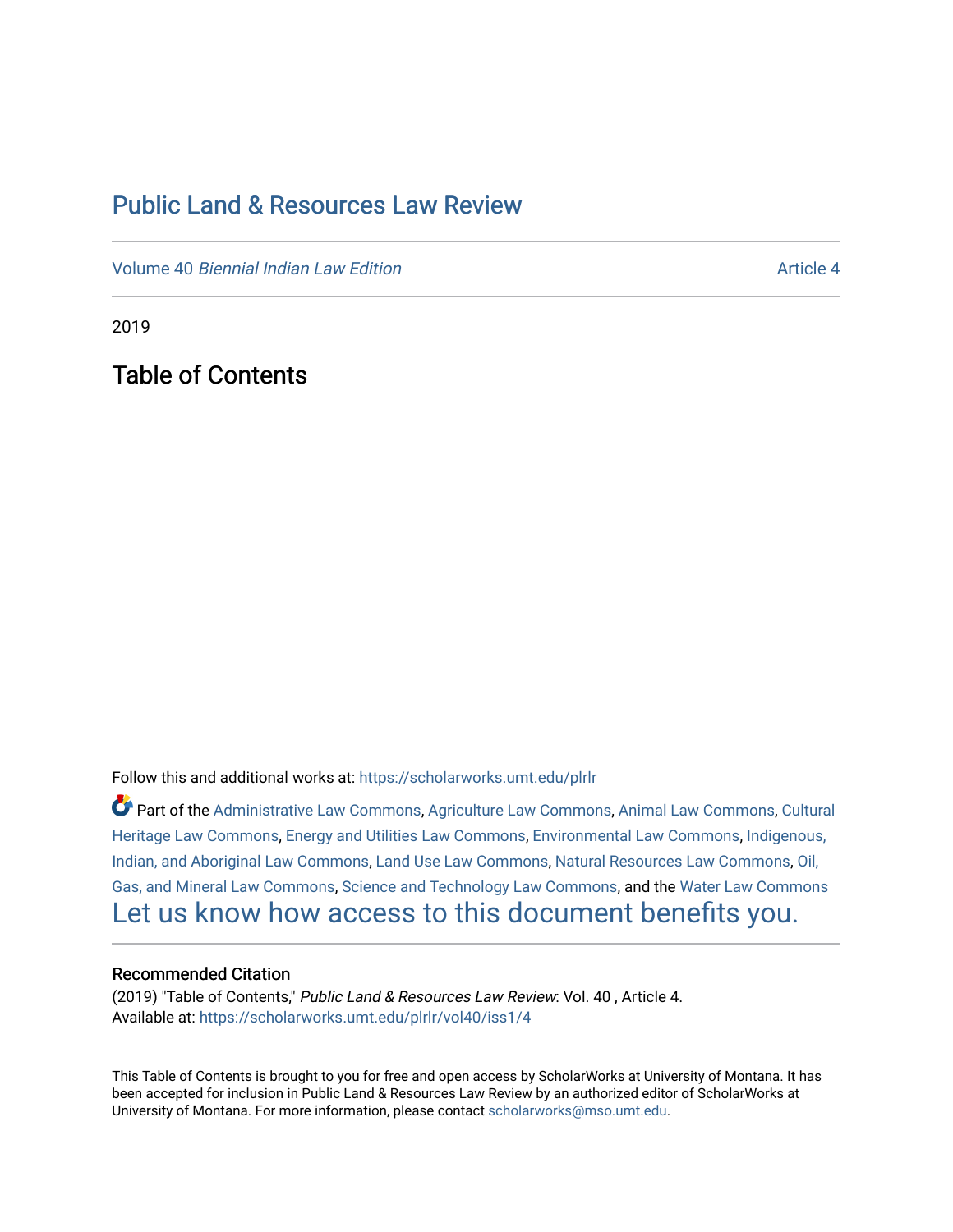## [Public Land & Resources Law Review](https://scholarworks.umt.edu/plrlr)

Volume 40 [Biennial Indian Law Edition](https://scholarworks.umt.edu/plrlr/vol40) Article 4

2019

Table of Contents

Follow this and additional works at: [https://scholarworks.umt.edu/plrlr](https://scholarworks.umt.edu/plrlr?utm_source=scholarworks.umt.edu%2Fplrlr%2Fvol40%2Fiss1%2F4&utm_medium=PDF&utm_campaign=PDFCoverPages) 

Part of the [Administrative Law Commons,](http://network.bepress.com/hgg/discipline/579?utm_source=scholarworks.umt.edu%2Fplrlr%2Fvol40%2Fiss1%2F4&utm_medium=PDF&utm_campaign=PDFCoverPages) [Agriculture Law Commons](http://network.bepress.com/hgg/discipline/581?utm_source=scholarworks.umt.edu%2Fplrlr%2Fvol40%2Fiss1%2F4&utm_medium=PDF&utm_campaign=PDFCoverPages), [Animal Law Commons](http://network.bepress.com/hgg/discipline/831?utm_source=scholarworks.umt.edu%2Fplrlr%2Fvol40%2Fiss1%2F4&utm_medium=PDF&utm_campaign=PDFCoverPages), [Cultural](http://network.bepress.com/hgg/discipline/1384?utm_source=scholarworks.umt.edu%2Fplrlr%2Fvol40%2Fiss1%2F4&utm_medium=PDF&utm_campaign=PDFCoverPages)  [Heritage Law Commons](http://network.bepress.com/hgg/discipline/1384?utm_source=scholarworks.umt.edu%2Fplrlr%2Fvol40%2Fiss1%2F4&utm_medium=PDF&utm_campaign=PDFCoverPages), [Energy and Utilities Law Commons,](http://network.bepress.com/hgg/discipline/891?utm_source=scholarworks.umt.edu%2Fplrlr%2Fvol40%2Fiss1%2F4&utm_medium=PDF&utm_campaign=PDFCoverPages) [Environmental Law Commons](http://network.bepress.com/hgg/discipline/599?utm_source=scholarworks.umt.edu%2Fplrlr%2Fvol40%2Fiss1%2F4&utm_medium=PDF&utm_campaign=PDFCoverPages), [Indigenous,](http://network.bepress.com/hgg/discipline/894?utm_source=scholarworks.umt.edu%2Fplrlr%2Fvol40%2Fiss1%2F4&utm_medium=PDF&utm_campaign=PDFCoverPages)  [Indian, and Aboriginal Law Commons](http://network.bepress.com/hgg/discipline/894?utm_source=scholarworks.umt.edu%2Fplrlr%2Fvol40%2Fiss1%2F4&utm_medium=PDF&utm_campaign=PDFCoverPages), [Land Use Law Commons](http://network.bepress.com/hgg/discipline/852?utm_source=scholarworks.umt.edu%2Fplrlr%2Fvol40%2Fiss1%2F4&utm_medium=PDF&utm_campaign=PDFCoverPages), [Natural Resources Law Commons](http://network.bepress.com/hgg/discipline/863?utm_source=scholarworks.umt.edu%2Fplrlr%2Fvol40%2Fiss1%2F4&utm_medium=PDF&utm_campaign=PDFCoverPages), [Oil,](http://network.bepress.com/hgg/discipline/864?utm_source=scholarworks.umt.edu%2Fplrlr%2Fvol40%2Fiss1%2F4&utm_medium=PDF&utm_campaign=PDFCoverPages) [Gas, and Mineral Law Commons](http://network.bepress.com/hgg/discipline/864?utm_source=scholarworks.umt.edu%2Fplrlr%2Fvol40%2Fiss1%2F4&utm_medium=PDF&utm_campaign=PDFCoverPages), [Science and Technology Law Commons,](http://network.bepress.com/hgg/discipline/875?utm_source=scholarworks.umt.edu%2Fplrlr%2Fvol40%2Fiss1%2F4&utm_medium=PDF&utm_campaign=PDFCoverPages) and the [Water Law Commons](http://network.bepress.com/hgg/discipline/887?utm_source=scholarworks.umt.edu%2Fplrlr%2Fvol40%2Fiss1%2F4&utm_medium=PDF&utm_campaign=PDFCoverPages) [Let us know how access to this document benefits you.](https://goo.gl/forms/s2rGfXOLzz71qgsB2) 

## Recommended Citation

(2019) "Table of Contents," Public Land & Resources Law Review: Vol. 40 , Article 4. Available at: [https://scholarworks.umt.edu/plrlr/vol40/iss1/4](https://scholarworks.umt.edu/plrlr/vol40/iss1/4?utm_source=scholarworks.umt.edu%2Fplrlr%2Fvol40%2Fiss1%2F4&utm_medium=PDF&utm_campaign=PDFCoverPages)

This Table of Contents is brought to you for free and open access by ScholarWorks at University of Montana. It has been accepted for inclusion in Public Land & Resources Law Review by an authorized editor of ScholarWorks at University of Montana. For more information, please contact [scholarworks@mso.umt.edu.](mailto:scholarworks@mso.umt.edu)